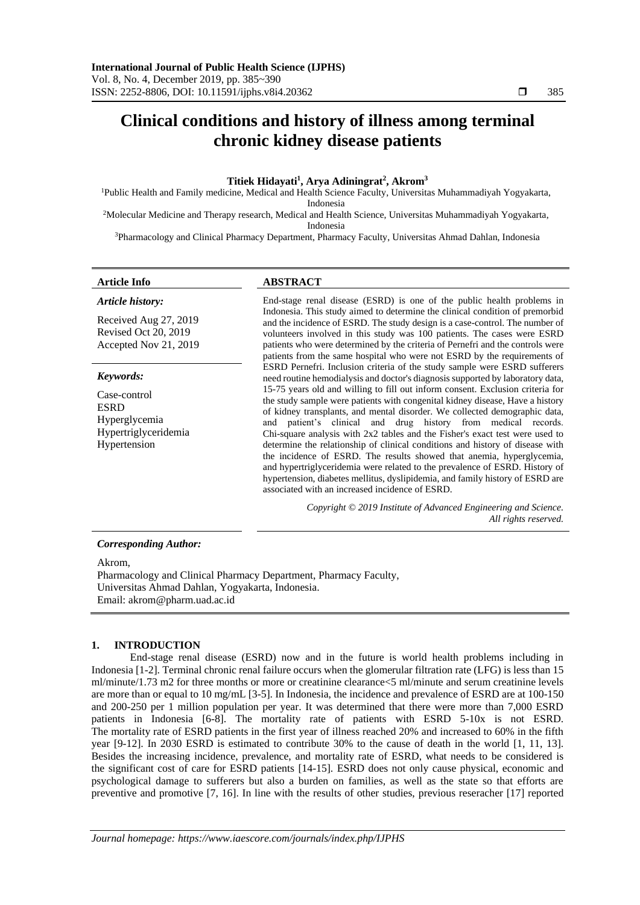## **Titiek Hidayati<sup>1</sup> , Arya Adiningrat<sup>2</sup> , Akrom<sup>3</sup>**

<sup>1</sup>Public Health and Family medicine, Medical and Health Science Faculty, Universitas Muhammadiyah Yogyakarta, Indonesia

<sup>2</sup>Molecular Medicine and Therapy research, Medical and Health Science, Universitas Muhammadiyah Yogyakarta, Indonesia

<sup>3</sup>Pharmacology and Clinical Pharmacy Department, Pharmacy Faculty, Universitas Ahmad Dahlan, Indonesia

# *Article history:*

Received Aug 27, 2019 Revised Oct 20, 2019 Accepted Nov 21, 2019

## *Keywords:*

Case-control ESRD Hyperglycemia Hypertriglyceridemia Hypertension

## **Article Info ABSTRACT**

End-stage renal disease (ESRD) is one of the public health problems in Indonesia. This study aimed to determine the clinical condition of premorbid and the incidence of ESRD. The study design is a case-control. The number of volunteers involved in this study was 100 patients. The cases were ESRD patients who were determined by the criteria of Pernefri and the controls were patients from the same hospital who were not ESRD by the requirements of ESRD Pernefri. Inclusion criteria of the study sample were ESRD sufferers need routine hemodialysis and doctor's diagnosis supported by laboratory data, 15-75 years old and willing to fill out inform consent. Exclusion criteria for the study sample were patients with congenital kidney disease, Have a history of kidney transplants, and mental disorder. We collected demographic data, and patient's clinical and drug history from medical records. Chi-square analysis with 2x2 tables and the Fisher's exact test were used to determine the relationship of clinical conditions and history of disease with the incidence of ESRD. The results showed that anemia, hyperglycemia, and hypertriglyceridemia were related to the prevalence of ESRD. History of hypertension, diabetes mellitus, dyslipidemia, and family history of ESRD are associated with an increased incidence of ESRD.

> *Copyright © 2019 Institute of Advanced Engineering and Science. All rights reserved.*

## *Corresponding Author:*

Akrom,

Pharmacology and Clinical Pharmacy Department, Pharmacy Faculty, Universitas Ahmad Dahlan, Yogyakarta, Indonesia. Email: akrom@pharm.uad.ac.id

#### **1. INTRODUCTION**

End-stage renal disease (ESRD) now and in the future is world health problems including in Indonesia [1-2]. Terminal chronic renal failure occurs when the glomerular filtration rate (LFG) is less than 15 ml/minute/1.73 m2 for three months or more or creatinine clearance<5 ml/minute and serum creatinine levels are more than or equal to 10 mg/mL [3-5]. In Indonesia, the incidence and prevalence of ESRD are at 100-150 and 200-250 per 1 million population per year. It was determined that there were more than 7,000 ESRD patients in Indonesia [6-8]. The mortality rate of patients with ESRD 5-10x is not ESRD. The mortality rate of ESRD patients in the first year of illness reached 20% and increased to 60% in the fifth year [9-12]. In 2030 ESRD is estimated to contribute 30% to the cause of death in the world [1, 11, 13]. Besides the increasing incidence, prevalence, and mortality rate of ESRD, what needs to be considered is the significant cost of care for ESRD patients [14-15]. ESRD does not only cause physical, economic and psychological damage to sufferers but also a burden on families, as well as the state so that efforts are preventive and promotive [7, 16]. In line with the results of other studies, previous reseracher [17] reported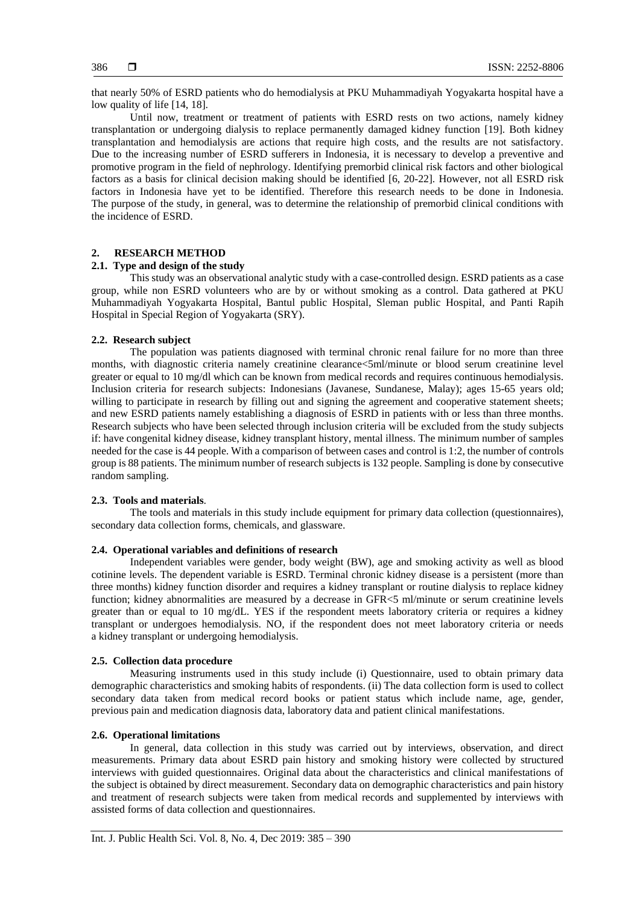that nearly 50% of ESRD patients who do hemodialysis at PKU Muhammadiyah Yogyakarta hospital have a low quality of life [14, 18].

Until now, treatment or treatment of patients with ESRD rests on two actions, namely kidney transplantation or undergoing dialysis to replace permanently damaged kidney function [19]. Both kidney transplantation and hemodialysis are actions that require high costs, and the results are not satisfactory. Due to the increasing number of ESRD sufferers in Indonesia, it is necessary to develop a preventive and promotive program in the field of nephrology. Identifying premorbid clinical risk factors and other biological factors as a basis for clinical decision making should be identified [6, 20-22]. However, not all ESRD risk factors in Indonesia have yet to be identified. Therefore this research needs to be done in Indonesia. The purpose of the study, in general, was to determine the relationship of premorbid clinical conditions with the incidence of ESRD.

## **2. RESEARCH METHOD**

## **2.1. Type and design of the study**

This study was an observational analytic study with a case-controlled design. ESRD patients as a case group, while non ESRD volunteers who are by or without smoking as a control. Data gathered at PKU Muhammadiyah Yogyakarta Hospital, Bantul public Hospital, Sleman public Hospital, and Panti Rapih Hospital in Special Region of Yogyakarta (SRY).

## **2.2. Research subject**

The population was patients diagnosed with terminal chronic renal failure for no more than three months, with diagnostic criteria namely creatinine clearance<5ml/minute or blood serum creatinine level greater or equal to 10 mg/dl which can be known from medical records and requires continuous hemodialysis. Inclusion criteria for research subjects: Indonesians (Javanese, Sundanese, Malay); ages 15-65 years old; willing to participate in research by filling out and signing the agreement and cooperative statement sheets; and new ESRD patients namely establishing a diagnosis of ESRD in patients with or less than three months. Research subjects who have been selected through inclusion criteria will be excluded from the study subjects if: have congenital kidney disease, kidney transplant history, mental illness. The minimum number of samples needed for the case is 44 people. With a comparison of between cases and control is 1:2, the number of controls group is 88 patients. The minimum number of research subjects is 132 people. Sampling is done by consecutive random sampling.

## **2.3. Tools and materials**.

The tools and materials in this study include equipment for primary data collection (questionnaires), secondary data collection forms, chemicals, and glassware.

## **2.4. Operational variables and definitions of research**

Independent variables were gender, body weight (BW), age and smoking activity as well as blood cotinine levels. The dependent variable is ESRD. Terminal chronic kidney disease is a persistent (more than three months) kidney function disorder and requires a kidney transplant or routine dialysis to replace kidney function; kidney abnormalities are measured by a decrease in GFR<5 ml/minute or serum creatinine levels greater than or equal to 10 mg/dL. YES if the respondent meets laboratory criteria or requires a kidney transplant or undergoes hemodialysis. NO, if the respondent does not meet laboratory criteria or needs a kidney transplant or undergoing hemodialysis.

## **2.5. Collection data procedure**

Measuring instruments used in this study include (i) Questionnaire, used to obtain primary data demographic characteristics and smoking habits of respondents. (ii) The data collection form is used to collect secondary data taken from medical record books or patient status which include name, age, gender, previous pain and medication diagnosis data, laboratory data and patient clinical manifestations.

## **2.6. Operational limitations**

In general, data collection in this study was carried out by interviews, observation, and direct measurements. Primary data about ESRD pain history and smoking history were collected by structured interviews with guided questionnaires. Original data about the characteristics and clinical manifestations of the subject is obtained by direct measurement. Secondary data on demographic characteristics and pain history and treatment of research subjects were taken from medical records and supplemented by interviews with assisted forms of data collection and questionnaires.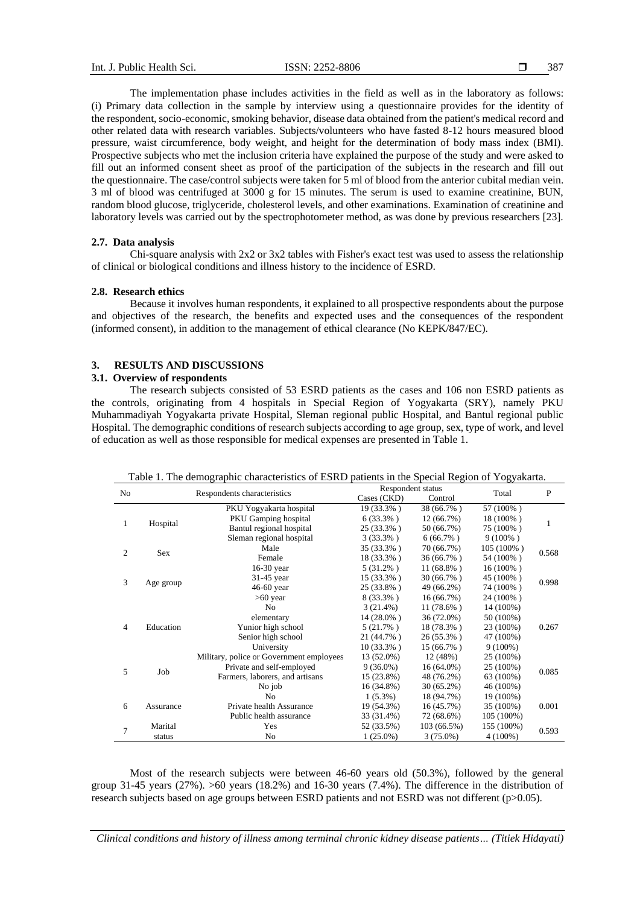The implementation phase includes activities in the field as well as in the laboratory as follows: (i) Primary data collection in the sample by interview using a questionnaire provides for the identity of the respondent, socio-economic, smoking behavior, disease data obtained from the patient's medical record and other related data with research variables. Subjects/volunteers who have fasted 8-12 hours measured blood pressure, waist circumference, body weight, and height for the determination of body mass index (BMI). Prospective subjects who met the inclusion criteria have explained the purpose of the study and were asked to fill out an informed consent sheet as proof of the participation of the subjects in the research and fill out the questionnaire. The case/control subjects were taken for 5 ml of blood from the anterior cubital median vein. 3 ml of blood was centrifuged at 3000 g for 15 minutes. The serum is used to examine creatinine, BUN, random blood glucose, triglyceride, cholesterol levels, and other examinations. Examination of creatinine and laboratory levels was carried out by the spectrophotometer method, as was done by previous researchers [23].

#### **2.7. Data analysis**

Chi-square analysis with  $2x2$  or  $3x2$  tables with Fisher's exact test was used to assess the relationship of clinical or biological conditions and illness history to the incidence of ESRD.

#### **2.8. Research ethics**

Because it involves human respondents, it explained to all prospective respondents about the purpose and objectives of the research, the benefits and expected uses and the consequences of the respondent (informed consent), in addition to the management of ethical clearance (No KEPK/847/EC).

## **3. RESULTS AND DISCUSSIONS**

#### **3.1. Overview of respondents**

The research subjects consisted of 53 ESRD patients as the cases and 106 non ESRD patients as the controls, originating from 4 hospitals in Special Region of Yogyakarta (SRY), namely PKU Muhammadiyah Yogyakarta private Hospital, Sleman regional public Hospital, and Bantul regional public Hospital. The demographic conditions of research subjects according to age group, sex, type of work, and level of education as well as those responsible for medical expenses are presented in Table 1.

| No             | Respondents characteristics |                                          | Respondent status |                    | Total        | P          |           |       |
|----------------|-----------------------------|------------------------------------------|-------------------|--------------------|--------------|------------|-----------|-------|
|                |                             |                                          | Cases (CKD)       | Control            |              |            |           |       |
|                |                             | PKU Yogyakarta hospital                  | 19 (33.3%)        | 38 (66.7%)         | 57 (100%)    |            |           |       |
| $\mathbf{1}$   |                             | <b>PKU</b> Gamping hospital              | $6(33.3\%)$       | $12(66.7\%)$       | 18 (100%)    |            |           |       |
|                | Hospital                    | Bantul regional hospital                 | 25 (33.3%)        | 50 (66.7%)         | 75 (100%)    | 1          |           |       |
|                |                             | Sleman regional hospital                 | $3(33.3\%)$       | $6(66.7\%)$        | $9(100\%)$   |            |           |       |
| $\overline{c}$ | Sex                         | Male                                     | 35 (33.3%)        | 70 (66.7%)         | $105(100\%)$ | 0.568      |           |       |
|                |                             | Female                                   | 18 (33.3%)        | 36 (66.7%)         | 54 (100%)    |            |           |       |
|                |                             | $16-30$ year                             | $5(31.2\%)$       | $11(68.8\%)$       | $16(100\%)$  |            |           |       |
| 3              |                             | 31-45 year                               | 15 (33.3%)        | 30 (66.7%)         | 45 (100%)    | 0.998      |           |       |
|                | Age group                   | 46-60 year                               | 25 (33.8%)        | 49 (66.2%)         | 74 (100%)    |            |           |       |
|                |                             | $>60$ year                               | $8(33.3\%)$       | 16(66.7%)          | 24 (100%)    |            |           |       |
|                |                             | No                                       | 3(21.4%)          | $11(78.6\%)$       | 14 (100%)    |            |           |       |
|                |                             | elementary                               | $14(28.0\%)$      | 36 (72.0%)         | 50 (100%)    |            |           |       |
| 4              | Education                   |                                          |                   | Yunior high school | $5(21.7\%)$  | 18 (78.3%) | 23 (100%) | 0.267 |
|                |                             | Senior high school                       | 21 (44.7%)        | 26 (55.3%)         | 47 (100%)    |            |           |       |
|                |                             | University                               | 10 (33.3%)        | $15(66.7\%)$       | $9(100\%)$   |            |           |       |
|                |                             | Military, police or Government employees | 13 (52.0%)        | 12 (48%)           | 25 (100%)    |            |           |       |
| 5              | Job                         | Private and self-employed                | $9(36.0\%)$       | $16(64.0\%)$       | 25 (100%)    | 0.085      |           |       |
|                |                             | Farmers, laborers, and artisans          | 15 (23.8%)        | 48 (76.2%)         | 63 (100%)    |            |           |       |
|                |                             | No job                                   | 16 (34.8%)        | $30(65.2\%)$       | 46 (100%)    |            |           |       |
|                |                             | N <sub>0</sub>                           | $1(5.3\%)$        | 18 (94.7%)         | 19 (100%)    |            |           |       |
| 6              | Assurance                   | Private health Assurance                 | 19 (54.3%)        | 16(45.7%)          | 35 (100%)    | 0.001      |           |       |
|                |                             | Public health assurance                  | 33 (31.4%)        | 72 (68.6%)         | 105 (100%)   |            |           |       |
| 7              | Marital                     | Yes                                      | 52 (33.5%)        | 103(66.5%)         | 155 (100%)   | 0.593      |           |       |
|                | status                      | No                                       | $1(25.0\%)$       | $3(75.0\%)$        | $4(100\%)$   |            |           |       |

| Table 1. The demographic characteristics of ESRD patients in the Special Region of Yogyakarta. |  |
|------------------------------------------------------------------------------------------------|--|
|                                                                                                |  |

Most of the research subjects were between 46-60 years old (50.3%), followed by the general group 31-45 years (27%). >60 years (18.2%) and 16-30 years (7.4%). The difference in the distribution of research subjects based on age groups between ESRD patients and not ESRD was not different (p>0.05).

*Clinical conditions and history of illness among terminal chronic kidney disease patients… (Titiek Hidayati)*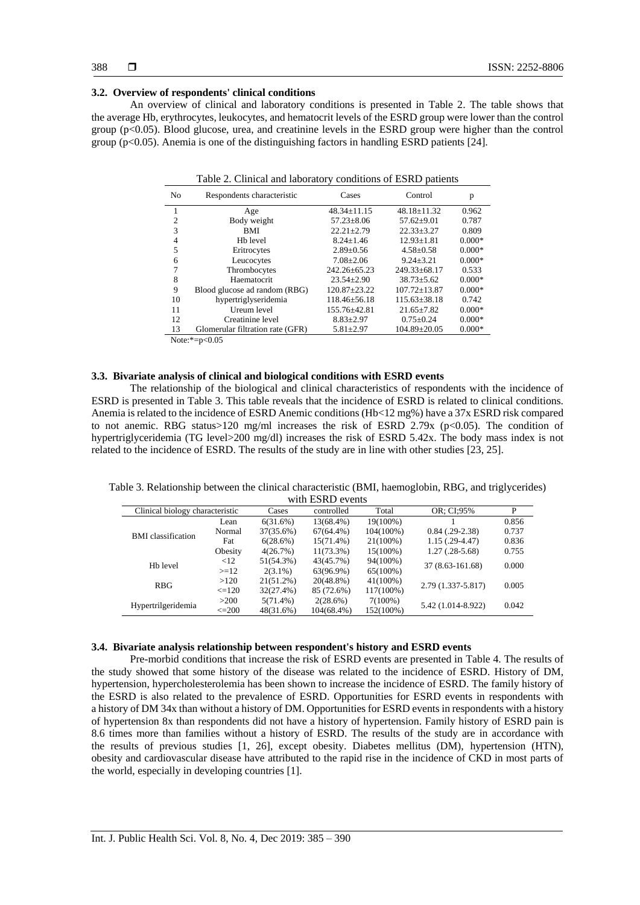## **3.2. Overview of respondents' clinical conditions**

An overview of clinical and laboratory conditions is presented in Table 2. The table shows that the average Hb, erythrocytes, leukocytes, and hematocrit levels of the ESRD group were lower than the control group (p<0.05). Blood glucose, urea, and creatinine levels in the ESRD group were higher than the control group ( $p<0.05$ ). Anemia is one of the distinguishing factors in handling ESRD patients [24].

| Table 2. Clinical and laboratory conditions of ESRD patients |  |
|--------------------------------------------------------------|--|
|--------------------------------------------------------------|--|

| N <sub>0</sub> | Respondents characteristic       | Cases              | Control            | p        |
|----------------|----------------------------------|--------------------|--------------------|----------|
|                | Age                              | $48.34 \pm 11.15$  | $48.18 \pm 11.32$  | 0.962    |
| $\overline{c}$ | Body weight                      | $57.23 \pm 8.06$   | $57.62 \pm 9.01$   | 0.787    |
| 3              | <b>BMI</b>                       | $22.21 + 2.79$     | $22.33 + 3.27$     | 0.809    |
| 4              | H <sub>b</sub> level             | $8.24 \pm 1.46$    | $12.93 \pm 1.81$   | $0.000*$ |
| 5              | Eritrocytes                      | $2.89 \pm 0.56$    | $4.58 + 0.58$      | $0.000*$ |
| 6              | Leucocytes                       | $7.08 \pm 2.06$    | $9.24 \pm 3.21$    | $0.000*$ |
| 7              | Thrombocytes                     | $242.26 \pm 65.23$ | $249.33 + 68.17$   | 0.533    |
| 8              | Haematocrit                      | $23.54 \pm 2.90$   | $38.73 + 5.62$     | $0.000*$ |
| 9              | Blood glucose ad random (RBG)    | 120.87+23.22       | $107.72 + 13.87$   | $0.000*$ |
| 10             | hypertriglyseridemia             | $118.46 \pm 56.18$ | $115.63 \pm 38.18$ | 0.742    |
| 11             | Ureum level                      | 155.76±42.81       | $21.65 \pm 7.82$   | $0.000*$ |
| 12             | Creatinine level                 | $8.83 \pm 2.97$    | $0.75 \pm 0.24$    | $0.000*$ |
| 13             | Glomerular filtration rate (GFR) | $5.81 \pm 2.97$    | $104.89 \pm 20.05$ | $0.000*$ |

Note:\*=p<0.05

## **3.3. Bivariate analysis of clinical and biological conditions with ESRD events**

The relationship of the biological and clinical characteristics of respondents with the incidence of ESRD is presented in Table 3. This table reveals that the incidence of ESRD is related to clinical conditions. Anemia is related to the incidence of ESRD Anemic conditions (Hb<12 mg%) have a 37x ESRD risk compared to not anemic. RBG status>120 mg/ml increases the risk of ESRD 2.79x ( $p$ <0.05). The condition of hypertriglyceridemia (TG level>200 mg/dl) increases the risk of ESRD 5.42x. The body mass index is not related to the incidence of ESRD. The results of the study are in line with other studies [23, 25].

Table 3. Relationship between the clinical characteristic (BMI, haemoglobin, RBG, and triglycerides) with  $ECDD$  events

| WILLI LOIND CVEIILS             |            |              |              |             |                     |       |
|---------------------------------|------------|--------------|--------------|-------------|---------------------|-------|
| Clinical biology characteristic |            | Cases        | controlled   | Total       | OR: CI:95%          | P     |
|                                 | Lean       | 6(31.6%)     | 13(68.4%)    | $19(100\%)$ |                     | 0.856 |
| <b>BMI</b> classification       | Normal     | 37(35.6%)    | $67(64.4\%)$ | 104(100%)   | $0.84$ $(.29-2.38)$ | 0.737 |
|                                 | Fat        | 6(28.6%)     | $15(71.4\%)$ | $21(100\%)$ | $1.15(.29-4.47)$    | 0.836 |
|                                 | Obesity    | 4(26.7%)     | $11(73.3\%)$ | $15(100\%)$ | $1.27(.28-5.68)$    | 0.755 |
| H <sub>b</sub> level            | < 12       | 51(54.3%)    | 43(45.7%)    | 94(100%)    |                     |       |
|                                 | $>=12$     | $2(3.1\%)$   | 63(96.9%)    | $65(100\%)$ | 37 (8.63-161.68)    | 0.000 |
| <b>RBG</b>                      | >120       | $21(51.2\%)$ | $20(48.8\%)$ | $41(100\%)$ |                     | 0.005 |
|                                 | $\leq 120$ | 32(27.4%)    | 85 (72.6%)   | 117(100%)   | 2.79 (1.337-5.817)  |       |
|                                 | >200       | $5(71.4\%)$  | 2(28.6%)     | $7(100\%)$  |                     |       |
| Hypertrilgeridemia              | $\leq=200$ | 48(31.6%)    | 104(68.4%)   | 152(100%)   | 5.42 (1.014-8.922)  | 0.042 |

#### **3.4. Bivariate analysis relationship between respondent's history and ESRD events**

Pre-morbid conditions that increase the risk of ESRD events are presented in Table 4. The results of the study showed that some history of the disease was related to the incidence of ESRD. History of DM, hypertension, hypercholesterolemia has been shown to increase the incidence of ESRD. The family history of the ESRD is also related to the prevalence of ESRD. Opportunities for ESRD events in respondents with a history of DM 34x than without a history of DM. Opportunities for ESRD events in respondents with a history of hypertension 8x than respondents did not have a history of hypertension. Family history of ESRD pain is 8.6 times more than families without a history of ESRD. The results of the study are in accordance with the results of previous studies [1, 26], except obesity. Diabetes mellitus (DM), hypertension (HTN), obesity and cardiovascular disease have attributed to the rapid rise in the incidence of CKD in most parts of the world, especially in developing countries [1].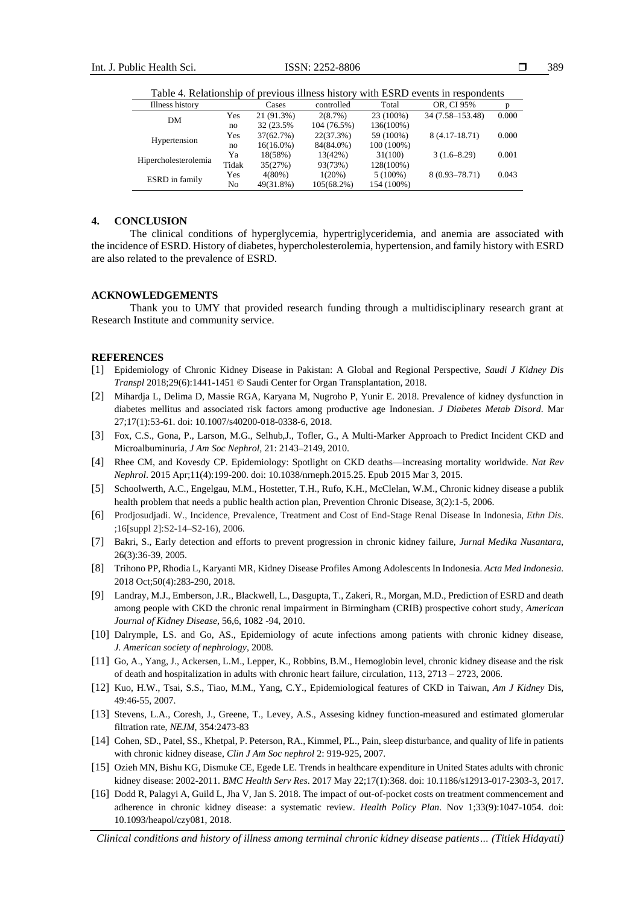Table 4. Relationship of previous illness history with ESRD events in respondents

| Illness history      |       | Cases        | controlled  | Total      | OR. CI 95%        |       |
|----------------------|-------|--------------|-------------|------------|-------------------|-------|
| DM                   | Yes   | 21 (91.3%)   | 2(8.7%)     | 23 (100%)  | 34 (7.58–153.48)  | 0.000 |
|                      | no    | 32 (23.5%)   | 104 (76.5%) | 136(100%)  |                   |       |
| Hypertension         | Yes   | 37(62.7%)    | 22(37.3%)   | 59 (100%)  | $8(4.17-18.71)$   | 0.000 |
|                      | no    | $16(16.0\%)$ | 84(84.0%)   | 100 (100%) |                   |       |
| Hipercholesterolemia | Ya    | 18(58%)      | 13(42%)     | 31(100)    | $3(1.6 - 8.29)$   | 0.001 |
|                      | Tidak | 35(27%)      | 93(73%)     | 128(100%)  |                   |       |
| ESRD in family       | Yes   | $4(80\%)$    | $1(20\%)$   | $5(100\%)$ | $8(0.93 - 78.71)$ | 0.043 |
|                      | No    | 49(31.8%)    | 105(68.2%)  | 154 (100%) |                   |       |

## **4. CONCLUSION**

The clinical conditions of hyperglycemia, hypertriglyceridemia, and anemia are associated with the incidence of ESRD. History of diabetes, hypercholesterolemia, hypertension, and family history with ESRD are also related to the prevalence of ESRD.

#### **ACKNOWLEDGEMENTS**

Thank you to UMY that provided research funding through a multidisciplinary research grant at Research Institute and community service.

## **REFERENCES**

- [1] Epidemiology of Chronic Kidney Disease in Pakistan: A Global and Regional Perspective, *Saudi J Kidney Dis Transpl* 2018;29(6):1441-1451 © Saudi Center for Organ Transplantation, 2018.
- [2] Mihardja L, Delima D, Massie RGA, Karyana M, Nugroho P, Yunir E. 2018. Prevalence of kidney dysfunction in diabetes mellitus and associated risk factors among productive age Indonesian. *J Diabetes Metab Disord*. Mar 27;17(1):53-61. doi: 10.1007/s40200-018-0338-6, 2018.
- [3] Fox, C.S., Gona, P., Larson, M.G., Selhub,J., Tofler, G., A Multi-Marker Approach to Predict Incident CKD and Microalbuminuria, *J Am Soc Nephrol,* 21: 2143–2149, 2010.
- [4] Rhee CM, and Kovesdy CP. Epidemiology: Spotlight on CKD deaths—increasing mortality worldwide. *Nat Rev Nephrol*. 2015 Apr;11(4):199-200. doi: 10.1038/nrneph.2015.25. Epub 2015 Mar 3, 2015.
- [5] Schoolwerth, A.C., Engelgau, M.M., Hostetter, T.H., Rufo, K.H., McClelan, W.M., Chronic kidney disease a publik health problem that needs a public health action plan, Prevention Chronic Disease, 3(2):1-5, 2006.
- [6] Prodjosudjadi. W., Incidence, Prevalence, Treatment and Cost of End-Stage Renal Disease In Indonesia, *Ethn Dis*. ;16[suppl 2]:S2-14–S2-16), 2006.
- [7] Bakri, S., Early detection and efforts to prevent progression in chronic kidney failure, *Jurnal Medika Nusantara*, 26(3):36-39, 2005.
- [8] Trihono PP, Rhodia L, Karyanti MR, Kidney Disease Profiles Among Adolescents In Indonesia. *Acta Med Indonesia*. 2018 Oct;50(4):283-290, 2018.
- [9] Landray, M.J., Emberson, J.R., Blackwell, L., Dasgupta, T., Zakeri, R., Morgan, M.D., Prediction of ESRD and death among people with CKD the chronic renal impairment in Birmingham (CRIB) prospective cohort study, *American Journal of Kidney Disease*, 56,6, 1082 -94, 2010.
- [10] Dalrymple, LS. and Go, AS., Epidemiology of acute infections among patients with chronic kidney disease, *J. American society of nephrology*, 2008.
- [11] Go, A., Yang, J., Ackersen, L.M., Lepper, K., Robbins, B.M., Hemoglobin level, chronic kidney disease and the risk of death and hospitalization in adults with chronic heart failure, circulation, 113, 2713 – 2723, 2006.
- [12] Kuo, H.W., Tsai, S.S., Tiao, M.M., Yang, C.Y., Epidemiological features of CKD in Taiwan, *Am J Kidney* Dis, 49:46-55, 2007.
- [13] Stevens, L.A., Coresh, J., Greene, T., Levey, A.S., Assesing kidney function-measured and estimated glomerular filtration rate, *NEJM*, 354:2473-83
- [14] Cohen, SD., Patel, SS., Khetpal, P. Peterson, RA., Kimmel, PL., Pain, sleep disturbance, and quality of life in patients with chronic kidney disease, *Clin J Am Soc nephrol* 2: 919-925, 2007.
- [15] Ozieh MN, Bishu KG, Dismuke CE, Egede LE. Trends in healthcare expenditure in United States adults with chronic kidney disease: 2002-2011. *BMC Health Serv Res*. 2017 May 22;17(1):368. doi: 10.1186/s12913-017-2303-3, 2017.
- [16] Dodd R, Palagyi A, Guild L, Jha V, Jan S. 2018. The impact of out-of-pocket costs on treatment commencement and adherence in chronic kidney disease: a systematic review. *Health Policy Plan*. Nov 1;33(9):1047-1054. doi: 10.1093/heapol/czy081, 2018.

*Clinical conditions and history of illness among terminal chronic kidney disease patients… (Titiek Hidayati)*